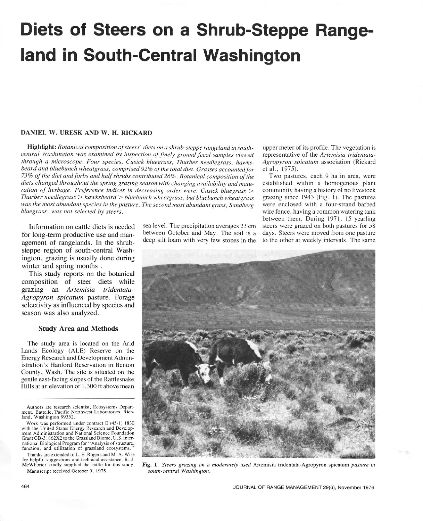# **Diets of Steers on a Shrub-Steppe Rangeland in South-Central Washington**

### DANIEL W. URESK AND W. H. RICKARD

Highlight: *Botanical composition of steers' diets on a shrub-steppe rangeland in south*. upper meter of its profile. The vegetation is central Washington was examined by inspection of finely ground fecal samples viewed representative of the Artemisia tridentata*through a microscope. Four species, Cusick bluegrass, Thurber needlegrass, hawks- Agropyron spicatum association (Rickard beard and bluebunch wheatgrass, comprised 92% of the rotal diet. Grasses accountedfor et al., 1975). 73% of the diet andforbs and halfshrubs contribured 26%. Botonica, composirion of the Two pastures,* each *9* ha in area, were diets changed throughout the spring grazing season with changing availability and matu-<br>
established within a homogenous plant ration of herbage. Preference indices in decreasing order were: Cusick bluegrass > community having a history of no livestock *Thurber needlegrass > hawksbeard > bluebunch wheatgrass, but bluebunch wheatgrass grazing* since *1943* (Fig. 1). The pastures was the most abundant species in the pasture. The second most abundant grass, Sandberg were enclosed with a four-strand barbed bluegrass, was not selected by steers.

for long-term productive use and man-<br>network of the solution of the solution of the solution with very few stones in the to the other at weekly intervals. The same agement of rangelands. In the shrubsteppe region of south-central Washington, grazing is usually done during winter and spring months.

This study reports on the botanical composition of steer diets while grazing an *Artemisia tridentata-Agropyron spicatum* pasture. Forage selectivity as influenced by species and season was also analyzed.

#### **Study Area and Methods**

The study area is located on the Arid Lands Ecology (ALE) Reserve on the Energy Research and Development Administration's Hanford Reservation in Benton County, Wash. The site is situated on the gentle east-facing slopes of the Rattlesnake Hills at an elevation of 1,300 ft above mean

Thanks are extended to L. E. Rogers and M. A. Wise for helpful suggestions and technical assistance. R. J. McWhorter kindly supplied the cattle for this study.

Manuscript received October 9, 1975.

wire fence, having a common watering tank between them. During 1971, 15 yearling Information on cattle diets is needed sea level. The precipitation averages 23 cm steers were grazed on both pastures for 58 r long-term productive use and man-<br>Interval of the soil is a days. Steers were moved from one pa



Fig. 1. Steers grazing on a moderately used Artemisia tridentata-Agropyron spicatum pasture in south-central Washington.

Authors are research scientist, Ecosystems Department, Battelle, Pacific Northwest Laboratories, Richland, Washington 99352.

Work was performed under contract E (45-1) 1830 with the United States Energy Research and Development Administration and National Science Foundation Grant GB-31862X2 to the Grassland Biome, U.S. International Biological Program for "Analysis of structure, function, and utilization of grassland ecosystems.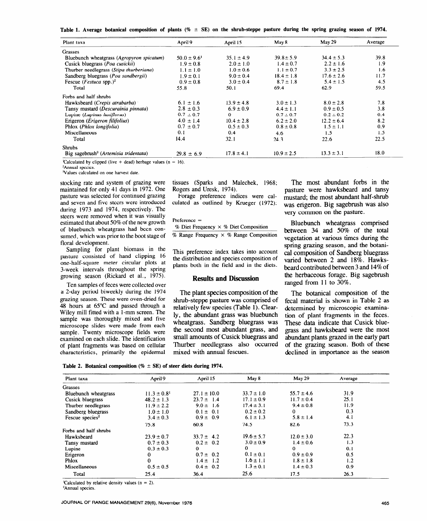|  |  |  |  |  |  |  |  |  |  |  | Table 1. Average botanical composition of plants ( $\% \pm SE$ ) on the shrub-steppe pasture during the spring grazing season of 1974. |  |  |  |  |  |  |  |  |  |
|--|--|--|--|--|--|--|--|--|--|--|----------------------------------------------------------------------------------------------------------------------------------------|--|--|--|--|--|--|--|--|--|
|--|--|--|--|--|--|--|--|--|--|--|----------------------------------------------------------------------------------------------------------------------------------------|--|--|--|--|--|--|--|--|--|

| Plant taxa                                        | April 9                     | April 15       | May 8          | May 29         | Average |
|---------------------------------------------------|-----------------------------|----------------|----------------|----------------|---------|
| Grasses                                           |                             |                |                |                |         |
| Bluebunch wheatgrass (Agropyron spicatum)         | $50.0 \pm 9.6$ <sup>1</sup> | $35.1 \pm 4.9$ | $39.8 \pm 5.9$ | $34.4 \pm 5.3$ | 39.8    |
| Cusick bluegrass (Poa cusickii)                   | $1.9 \pm 0.8$               | $2.0 \pm 1.0$  | $1.4 \pm 0.7$  | $2.2 \pm 1.6$  | 1.9     |
| Thurber needlegrass (Stipa thurberiana)           | $1.1 \pm 1.0$               | $1.0 \pm 0.6$  | $1.1 \pm 0.7$  | $3.3 \pm 2.5$  | 1.6     |
| Sandberg bluegrass (Poa sandbergii)               | $1.9 \pm 0.1$               | $9.0 \pm 0.4$  | $18.4 \pm 1.8$ | $17.6 \pm 2.6$ | 11.7    |
| Fescue ( <i>Festuca</i> spp.) <sup>2</sup>        | $0.9 \pm 0.8$               | $3.0 \pm 0.4$  | $8.7 \pm 1.8$  | $5.4 \pm 1.5$  | 4.5     |
| Total                                             | 55.8                        | 50.1           | 69.4           | 62.9           | 59.5    |
| Forbs and half shrubs                             |                             |                |                |                |         |
| Hawksbeard (Crepis atrabarba)                     | $6.1 \pm 1.6$               | $13.9 \pm 4.8$ | $3.0 \pm 1.3$  | $8.0 \pm 2.8$  | 7.8     |
| Tansy mustard (Descurainia pinnata)               | $2.8 \pm 0.3$               | $6.9 \pm 0.9$  | $4.4 \pm 1.1$  | $0.9 \pm 0.5$  | 3.8     |
| Lupine (Lupinus laxiflorus)                       | $0.7 \pm 0.7$               | 0              | $0.7 \pm 0.7$  | $0.2 \pm 0.2$  | 0.4     |
| Erigeron ( <i>Erigeron filifolius</i> )           | $4.0 \pm 1.4$               | $10.4 \pm 2.8$ | $6.2 \pm 2.0$  | $12.2 \pm 6.4$ | 8.2     |
| Phlox (Phlox longifolia)                          | $0.7 \pm 0.7$               | $0.5 \pm 0.3$  | $0.8 \pm 0.8$  | $1.5 \pm 1.1$  | 0.9     |
| <b>Miscellaneous</b>                              | 0.1                         | 0.4            | 4.6            | 1.5            | 1.5     |
| Total                                             | 14.4                        | 32.1           | 24.3           | 22.6           | 22.5    |
| <b>Shrubs</b>                                     |                             |                |                |                |         |
| Big sagebrush <sup>3</sup> (Artemisia tridentata) | $29.8 \pm 6.9$              | $17.8 \pm 4.1$ | $10.9 \pm 2.5$ | $13.3 \pm 3.1$ | 18.0    |

alculated by clipped (live + dead) herbage values (n

"Annual **species.** 

"Values calculated on one harvest date.

stocking rate and system of grazing were maintained for only 41 days in 1972. One pasture was selected for continued grazing and seven and five steers were introduced during 1973 and 1974, respectively. The steers were removed when it was visually estimated that about 50% of the new growth of bluebunch wheatgrass had been consumed, which was prior to the boot stage of floral development.

Sampling for plant biomass in the pasture consisted of hand clipping 16 one-half-square meter circular plots at 3-week intervals throughout the spring growing season (Rickard et al., 1975).

Ten samples of feces were collected over a 2-day period biweekly during the 1974 grazing season. These were oven-dried for 48 hours at 65°C and passed through a Wiley mill fitted with a l-mm screen. The sample was thoroughly mixed and five microscope slides were made from each sample. Twenty microscope fields were examined on each slide. The identification of plant fragments was based on cellular characteristics, primarily the epidermal

tissues (Sparks and Malechek, 1968; Rogers and Uresk, 1974).

Forage preference indices were calculated as outlined by Krueger (1972):

Preference =

% Diet Frequency  $\times$  % Diet Composition % Range Frequency  $\times$  % Range Composition

This preference index takes into account the distribution and species composition of plants both in the field and in the diets.

#### **Results and Discussion**

shrub-steppe pasture was comprised of fecal material is shown in Table 2 as relatively few species (Table 1). Clear- determined by microscopic examinaly, the abundant grass was bluebunch tion of plant fragments in the feces. wheatgrass. Sandberg bluegrass was These data indicate that Cusick bluethe second most abundant grass, and grass and hawksbeard were the most small amounts of Cusick bluegrass and abundant plants grazed in the early part Thurber needlegrass also occurred of the grazing season. Both of these

The most abundant forbs in the pasture were hawksbeard and tansy mustard; the most abundant half-shrub was erigeron. Big sagebrush was also very common on the pasture.

Bluebunch wheatgrass comprised between 34 and 50% of the total vegetation at various times during the spring grazing season, and the botanical composition of Sandberg bluegrass varied between 2 and 18%. Hawksbeard contributed between 3 and 14% of the herbaceous forage. Big sagebrush ranged from 11 to 30%.

**The** plant species composition of the The botanical composition of the mixed with annual fescues. declined in importance as the season

|  | Table 2. Botanical composition ( $\% \pm SE$ ) of steer diets during 1974. |  |  |  |
|--|----------------------------------------------------------------------------|--|--|--|
|  |                                                                            |  |  |  |

| Plant taxa                  | April 9                     | April 15        | May 8          | May 29         | Average |  |
|-----------------------------|-----------------------------|-----------------|----------------|----------------|---------|--|
| <b>Grasses</b>              |                             |                 |                |                |         |  |
| Bluebunch wheatgrass        | $11.3 \pm 0.8$ <sup>1</sup> | $27.1 \pm 10.0$ | $33.7 \pm 1.0$ | $55.7 \pm 4.6$ | 31.9    |  |
| Cusick bluegrass            | $48.2 \pm 1.3$              | $23.7 \pm 1.4$  | $17.1 \pm 0.9$ | $11.7 \pm 0.4$ | 25.1    |  |
| Thurber needlegrass         | $11.9 \pm 2.2$              | $9.0 \pm 1.6$   | $17.4 \pm 3.1$ | $9.4 \pm 0.8$  | 11.9    |  |
| Sandberg bluegrass          | $1.0 \pm 1.0$               | $0.1 \pm 0.1$   | $0.2 \pm 0.2$  | $\Omega$       | 0.3     |  |
| Fescue species <sup>2</sup> | $3.4 \pm 0.3$               | $0.9 \pm 0.9$   | $6.1 \pm 1.3$  | $5.8 \pm 1.4$  | 4. 1    |  |
|                             | 75.8                        | 60.8            | 74.5           | 82.6           | 73.3    |  |
| Forbs and half shrubs       |                             |                 |                |                |         |  |
| Hawksbeard                  | $23.9 \pm 0.7$              | $33.7 \pm 4.2$  | $19.6 \pm 5.7$ | $12.0 \pm 3.0$ | 22.3    |  |
| Tansy mustard               | $0.7 \pm 0.3$               | $0.2 \pm 0.2$   | $3.0 \pm 0.9$  | $1.4 \pm 0.6$  | 1.3     |  |
| Lupine                      | $0.3 \pm 0.3$               | $\bf{0}$        | 0              | $\Omega$       | 0.1     |  |
| Erigeron                    | 0                           | $0.7 \pm 0.2$   | $0.1 \pm 0.1$  | $0.9 \pm 0.9$  | 0.5     |  |
| Phlox                       | $\mathbf{0}$                | $1.4 \pm 1.2$   | $1.6 \pm 1.1$  | $1.8 \pm 1.8$  | 1.2     |  |
| Miscellaneous               | $0.5 \pm 0.5$               | $0.4 \pm 0.2$   | $1.3 \pm 0.1$  | $1.4 \pm 0.3$  | 0.9     |  |
| Total                       | 25.4                        | 36.4            | 25.6           | 17.5           | 26.3    |  |

'Calculated by relative density values  $(n = 2)$ . 'Annual species.